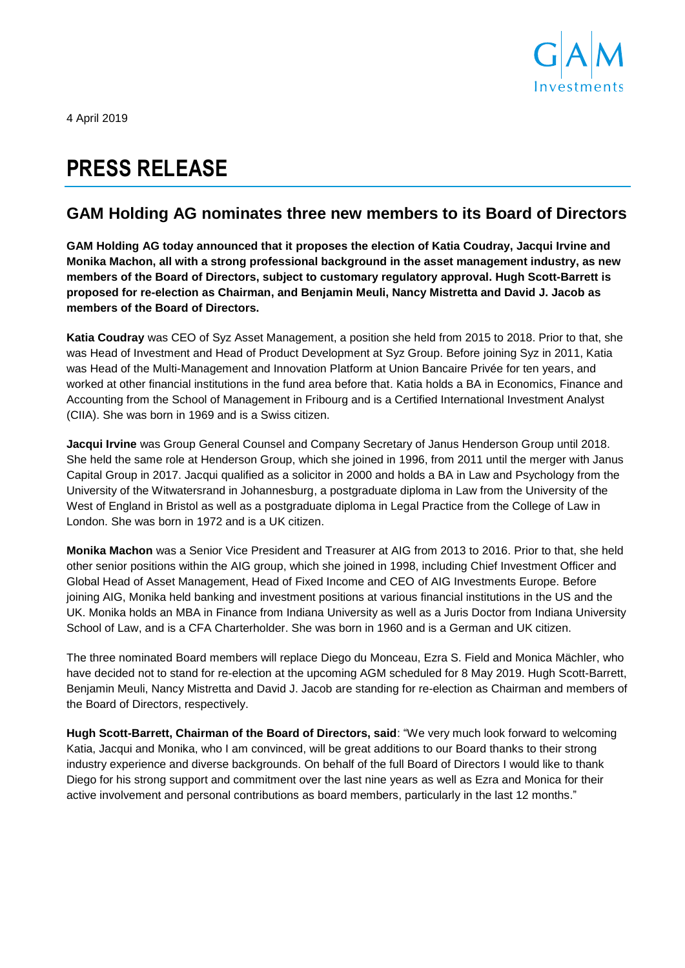

4 April 2019

## **PRESS RELEASE**

## **GAM Holding AG nominates three new members to its Board of Directors**

**GAM Holding AG today announced that it proposes the election of Katia Coudray, Jacqui Irvine and Monika Machon, all with a strong professional background in the asset management industry, as new members of the Board of Directors, subject to customary regulatory approval. Hugh Scott-Barrett is proposed for re-election as Chairman, and Benjamin Meuli, Nancy Mistretta and David J. Jacob as members of the Board of Directors.**

**Katia Coudray** was CEO of Syz Asset Management, a position she held from 2015 to 2018. Prior to that, she was Head of Investment and Head of Product Development at Syz Group. Before joining Syz in 2011, Katia was Head of the Multi-Management and Innovation Platform at Union Bancaire Privée for ten years, and worked at other financial institutions in the fund area before that. Katia holds a BA in Economics, Finance and Accounting from the School of Management in Fribourg and is a Certified International Investment Analyst (CIIA). She was born in 1969 and is a Swiss citizen.

**Jacqui Irvine** was Group General Counsel and Company Secretary of Janus Henderson Group until 2018. She held the same role at Henderson Group, which she joined in 1996, from 2011 until the merger with [Janus](https://en.wikipedia.org/wiki/Janus_Capital_Group)  [Capital Group](https://en.wikipedia.org/wiki/Janus_Capital_Group) in 2017. Jacqui qualified as a solicitor in 2000 and holds a BA in Law and Psychology from the University of the Witwatersrand in Johannesburg, a postgraduate diploma in Law from the University of the West of England in Bristol as well as a postgraduate diploma in Legal Practice from the College of Law in London. She was born in 1972 and is a UK citizen.

**Monika Machon** was a Senior Vice President and Treasurer at AIG from 2013 to 2016. Prior to that, she held other senior positions within the AIG group, which she joined in 1998, including Chief Investment Officer and Global Head of Asset Management, Head of Fixed Income and CEO of AIG Investments Europe. Before joining AIG, Monika held banking and investment positions at various financial institutions in the US and the UK. Monika holds an MBA in Finance from Indiana University as well as a Juris Doctor from Indiana University School of Law, and is a CFA Charterholder. She was born in 1960 and is a German and UK citizen.

The three nominated Board members will replace Diego du Monceau, Ezra S. Field and Monica Mächler, who have decided not to stand for re-election at the upcoming AGM scheduled for 8 May 2019. Hugh Scott-Barrett, Benjamin Meuli, Nancy Mistretta and David J. Jacob are standing for re-election as Chairman and members of the Board of Directors, respectively.

**Hugh Scott-Barrett, Chairman of the Board of Directors, said**: "We very much look forward to welcoming Katia, Jacqui and Monika, who I am convinced, will be great additions to our Board thanks to their strong industry experience and diverse backgrounds. On behalf of the full Board of Directors I would like to thank Diego for his strong support and commitment over the last nine years as well as Ezra and Monica for their active involvement and personal contributions as board members, particularly in the last 12 months."